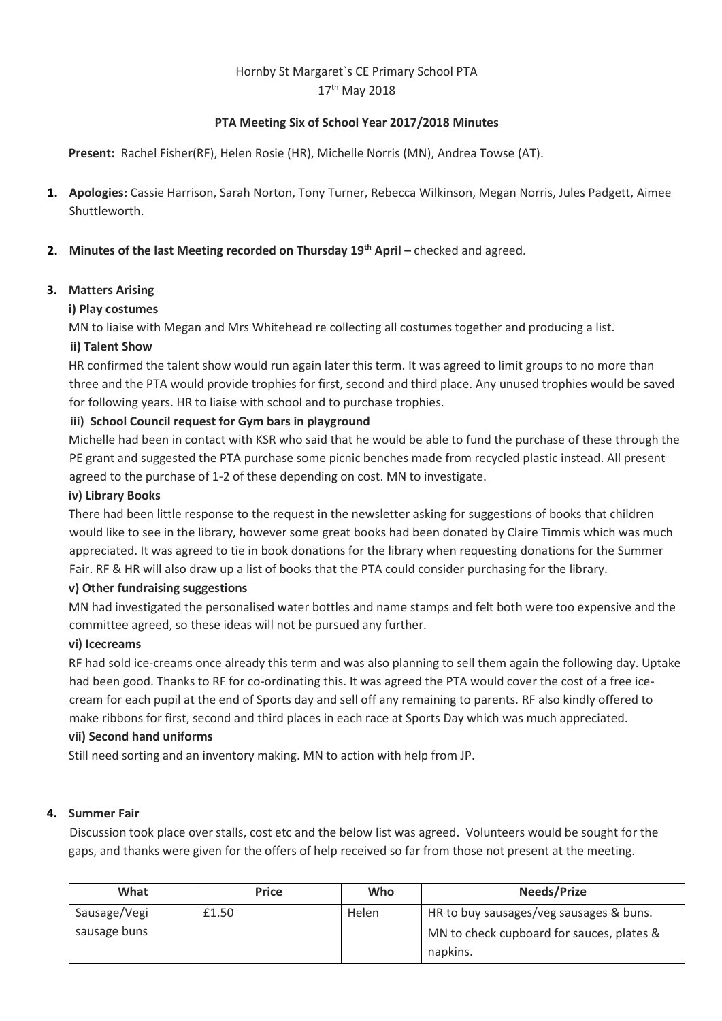## Hornby St Margaret`s CE Primary School PTA 17<sup>th</sup> May 2018

### **PTA Meeting Six of School Year 2017/2018 Minutes**

**Present:** Rachel Fisher(RF), Helen Rosie (HR), Michelle Norris (MN), Andrea Towse (AT).

**1. Apologies:** Cassie Harrison, Sarah Norton, Tony Turner, Rebecca Wilkinson, Megan Norris, Jules Padgett, Aimee Shuttleworth.

### **2. Minutes of the last Meeting recorded on Thursday 19th April –** checked and agreed.

### **3. Matters Arising**

### **i) Play costumes**

MN to liaise with Megan and Mrs Whitehead re collecting all costumes together and producing a list.

### **ii) Talent Show**

HR confirmed the talent show would run again later this term. It was agreed to limit groups to no more than three and the PTA would provide trophies for first, second and third place. Any unused trophies would be saved for following years. HR to liaise with school and to purchase trophies.

## **iii) School Council request for Gym bars in playground**

Michelle had been in contact with KSR who said that he would be able to fund the purchase of these through the PE grant and suggested the PTA purchase some picnic benches made from recycled plastic instead. All present agreed to the purchase of 1-2 of these depending on cost. MN to investigate.

### **iv) Library Books**

There had been little response to the request in the newsletter asking for suggestions of books that children would like to see in the library, however some great books had been donated by Claire Timmis which was much appreciated. It was agreed to tie in book donations for the library when requesting donations for the Summer Fair. RF & HR will also draw up a list of books that the PTA could consider purchasing for the library.

### **v) Other fundraising suggestions**

MN had investigated the personalised water bottles and name stamps and felt both were too expensive and the committee agreed, so these ideas will not be pursued any further.

### **vi) Icecreams**

RF had sold ice-creams once already this term and was also planning to sell them again the following day. Uptake had been good. Thanks to RF for co-ordinating this. It was agreed the PTA would cover the cost of a free icecream for each pupil at the end of Sports day and sell off any remaining to parents. RF also kindly offered to make ribbons for first, second and third places in each race at Sports Day which was much appreciated.

#### **vii) Second hand uniforms**

Still need sorting and an inventory making. MN to action with help from JP.

#### **4. Summer Fair**

Discussion took place over stalls, cost etc and the below list was agreed. Volunteers would be sought for the gaps, and thanks were given for the offers of help received so far from those not present at the meeting.

| What         | <b>Price</b> | Who   | <b>Needs/Prize</b>                                    |
|--------------|--------------|-------|-------------------------------------------------------|
| Sausage/Vegi | £1.50        | Helen | HR to buy sausages/veg sausages & buns.               |
| sausage buns |              |       | MN to check cupboard for sauces, plates &<br>napkins. |